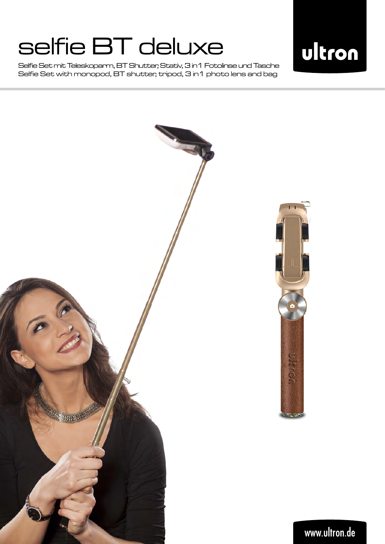Selfie Set mit Teleskoparm, BT Shutter, Stativ, 3 in1 Fotolinse und Tasche Selfie Set with monopod, BT shutter, tripod, 3 in1 photo lens and bag



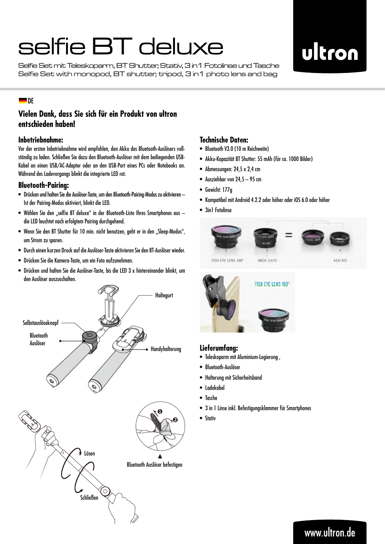Selfie Set mit Teleskoparm, BT Shutter, Stativ, 3 in1 Fotolinse und Tasche Selfie Set with monopod, BT shutter, tripod, 3 in1 photo lens and bag

## ultron

#### $\blacksquare$ DE

#### **Vielen Dank, dass Sie sich für ein Produkt von ultron entschieden haben!**

#### **Inbetriebnahme:**

Vor der ersten Inbetriebnahme wird empfohlen, den Akku des Bluetooth-Auslösers vollständig zu laden. Schließen Sie dazu den Bluetooth-Auslöser mit dem beiliegenden USB-Kabel an einen USB/AC-Adapter oder an den USB-Port eines PCs oder Notebooks an. Während des Ladevorgangs blinkt die integrierte LED rot.

#### **Bluetooth-Pairing:**

- • Drücken und halten Sie die Auslöser-Taste, um den Bluetooth-Pairing-Modus zu aktivieren Ist der Pairing-Modus aktiviert, blinkt die LED.
- Wählen Sie den "selfie BT deluxe" in der Bluetooth-Liste Ihres Smartphones aus die LED leuchtet nach erfolgtem Pairing durchgehend.
- Wenn Sie den BT Shutter für 10 min. nicht benutzen, geht er in den "Sleep-Modus", um Strom zu sparen.
- • Durch einen kurzen Druck auf die Auslöser-Taste aktivieren Sie den BT-Auslöser wieder.
- • Drücken Sie die Kamera-Taste, um ein Foto aufzunehmen.
- • Drücken und halten Sie die Auslöser-Taste, bis die LED 3 x hintereinander blinkt, um den Auslöser auszuschalten.



#### **Technische Daten:**

- • Bluetooth V3.0 (10 m Reichweite)
- • Akku-Kapazität BT Shutter: 55 mAh (für ca. 1000 Bilder)
- Abmessungen: 24,5 x 2,4 cm
- • Ausziehbar von 24,5 95 cm
- • Gewicht: 177g
- • Kompatibel mit Android 4.2.2 oder höher oder iOS 6.0 oder höher
- 3in1 Fotolinse





#### **Lieferumfang:**

- • Teleskoparm mit Aluminium-Legierung ,
- • Bluetooth-Auslöser
- • Halterung mit Sicherheitsband
- • Ladekabel
- • Tasche
- • 3 in 1 Linse inkl. Befestigungsklammer für Smartphones
- • Stativ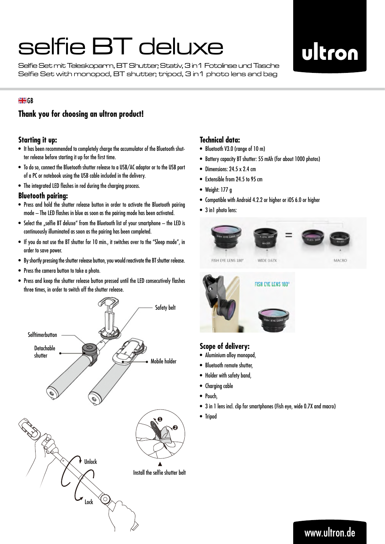Selfie Set mit Teleskoparm, BT Shutter, Stativ, 3 in1 Fotolinse und Tasche Selfie Set with monopod, BT shutter, tripod, 3 in1 photo lens and bag

## ultron

#### **SK**GR

#### **Thank you for choosing an ultron product!**

#### **Starting it up:**

- It has been recommended to completely charge the accumulator of the Bluetooth shutter release before starting it up for the first time.
- • To do so, connect the Bluetooth shutter release to a USB/AC adaptor or to the USB port of a PC or notebook using the USB cable included in the delivery.
- The integrated LED flashes in red during the charging process.

#### **Bluetooth pairing:**

- Press and hold the shutter release button in order to activate the Bluetooth pairing mode – The LED flashes in blue as soon as the pairing mode has been activated.
- $\bullet$  Select the "selfie BT deluxe" from the Bluetooth list of your smartphone  $-$  the LED is continuously illuminated as soon as the pairing has been completed.
- If you do not use the BT shutter for 10 min., it switches over to the "Sleep mode", in order to save power.
- • By shortly pressing the shutter release button, you would reactivate the BT shutter release.
- Press the camera button to take a photo.
- • Press and keep the shutter release button pressed until the LED consecutively flashes three times, in order to switch off the shutter release.



#### **Technical data:**

- • Bluetooth V3.0 (range of 10 m)
- • Battery capacity BT shutter: 55 mAh (for about 1000 photos)
- Dimensions:  $24.5 \times 2.4$  cm
- Extensible from 24.5 to 95 cm
- Weight: 177 g
- • Compatible with Android 4.2.2 or higher or iOS 6.0 or higher
- 3 in1 photo lens:





#### **Scope of delivery:**

- • Aluminium alloy monopod,
- Bluetooth remote shutter,
- • Holder with safety band,
- • Charging cable
- Pouch,
- 3 in 1 lens incl. clip for smartphones (Fish eye, wide 0.7X and macro)
- • Tripod